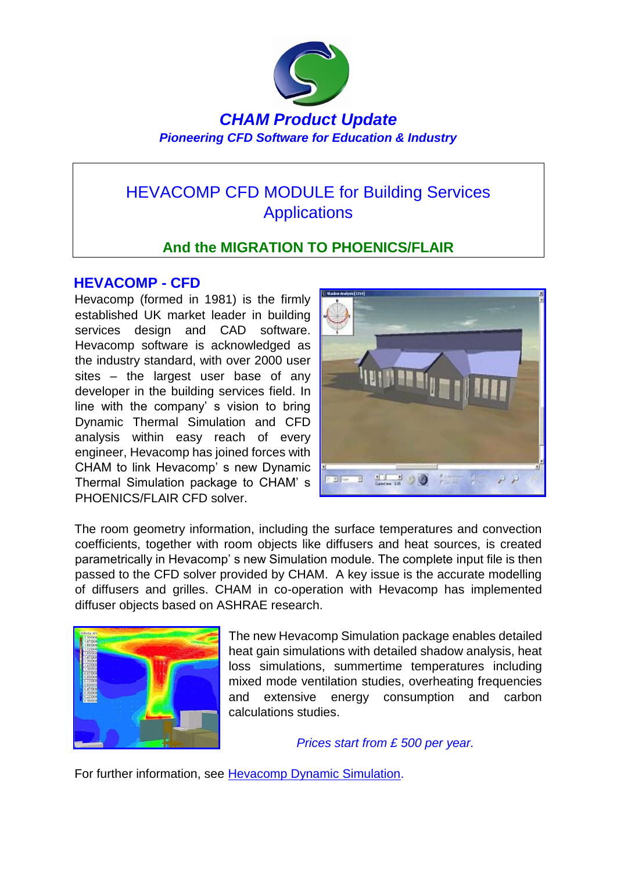

# HEVACOMP CFD MODULE for Building Services **Applications**

## **And the MIGRATION TO PHOENICS/FLAIR**

### **HEVACOMP - CFD**

Hevacomp (formed in 1981) is the firmly established UK market leader in building services design and CAD software. Hevacomp software is acknowledged as the industry standard, with over 2000 user sites – the largest user base of any developer in the building services field. In line with the company' s vision to bring Dynamic Thermal Simulation and CFD analysis within easy reach of every engineer, Hevacomp has joined forces with CHAM to link Hevacomp' s new Dynamic Thermal Simulation package to CHAM' s PHOENICS/FLAIR CFD solver.



The room geometry information, including the surface temperatures and convection coefficients, together with room objects like diffusers and heat sources, is created parametrically in Hevacomp' s new Simulation module. The complete input file is then passed to the CFD solver provided by CHAM. A key issue is the accurate modelling of diffusers and grilles. CHAM in co-operation with Hevacomp has implemented diffuser objects based on ASHRAE research.



The new Hevacomp Simulation package enables detailed heat gain simulations with detailed shadow analysis, heat loss simulations, summertime temperatures including mixed mode ventilation studies, overheating frequencies and extensive energy consumption and carbon calculations studies.

*Prices start from £ 500 per year.*

For further information, see **Hevacomp Dynamic Simulation**.